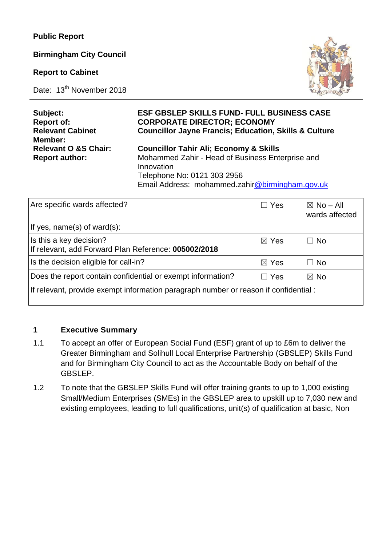**Birmingham City Council** 

**Report to Cabinet**

Date: 13<sup>th</sup> November 2018



| Subject:<br><b>Report of:</b>                            | <b>ESF GBSLEP SKILLS FUND- FULL BUSINESS CASE</b><br><b>CORPORATE DIRECTOR; ECONOMY</b>               |            |                      |  |  |
|----------------------------------------------------------|-------------------------------------------------------------------------------------------------------|------------|----------------------|--|--|
| <b>Relevant Cabinet</b><br>Member:                       | <b>Councillor Jayne Francis; Education, Skills &amp; Culture</b>                                      |            |                      |  |  |
| <b>Relevant O &amp;S Chair:</b><br><b>Report author:</b> | <b>Councillor Tahir Ali; Economy &amp; Skills</b><br>Mohammed Zahir - Head of Business Enterprise and |            |                      |  |  |
|                                                          | Innovation<br>Telephone No: 0121 303 2956                                                             |            |                      |  |  |
|                                                          | Email Address: mohammed.zahir@birmingham.gov.uk                                                       |            |                      |  |  |
| Are specific wards affected?                             |                                                                                                       | <b>Yes</b> | $\boxtimes$ No – All |  |  |

| Are specific wards affected?                                                         | ∣Yes            | $\boxtimes$ No – All<br>wards affected |  |  |  |
|--------------------------------------------------------------------------------------|-----------------|----------------------------------------|--|--|--|
| If yes, name(s) of ward(s):                                                          |                 |                                        |  |  |  |
| Is this a key decision?<br>If relevant, add Forward Plan Reference: 005002/2018      | $\boxtimes$ Yes | $\Box$ No                              |  |  |  |
| Is the decision eligible for call-in?                                                | $\boxtimes$ Yes | $\Box$ No                              |  |  |  |
| Does the report contain confidential or exempt information?                          | $\Box$ Yes      | $\boxtimes$ No                         |  |  |  |
| If relevant, provide exempt information paragraph number or reason if confidential : |                 |                                        |  |  |  |

#### **1 Executive Summary**

- 1.1 To accept an offer of European Social Fund (ESF) grant of up to £6m to deliver the Greater Birmingham and Solihull Local Enterprise Partnership (GBSLEP) Skills Fund and for Birmingham City Council to act as the Accountable Body on behalf of the GBSLEP.
- 1.2 To note that the GBSLEP Skills Fund will offer training grants to up to 1,000 existing Small/Medium Enterprises (SMEs) in the GBSLEP area to upskill up to 7,030 new and existing employees, leading to full qualifications, unit(s) of qualification at basic, Non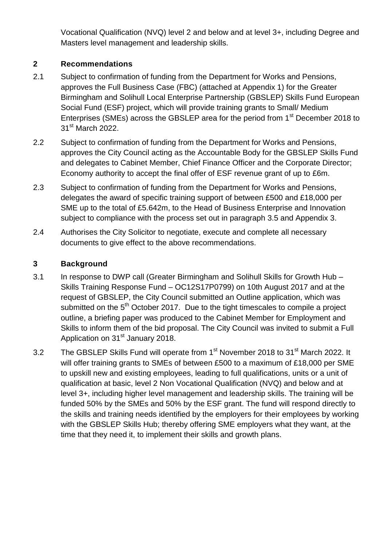Vocational Qualification (NVQ) level 2 and below and at level 3+, including Degree and Masters level management and leadership skills.

## **2 Recommendations**

- 2.1 Subject to confirmation of funding from the Department for Works and Pensions, approves the Full Business Case (FBC) (attached at Appendix 1) for the Greater Birmingham and Solihull Local Enterprise Partnership (GBSLEP) Skills Fund European Social Fund (ESF) project, which will provide training grants to Small/ Medium Enterprises (SMEs) across the GBSLEP area for the period from 1<sup>st</sup> December 2018 to 31<sup>st</sup> March 2022.
- 2.2 Subject to confirmation of funding from the Department for Works and Pensions, approves the City Council acting as the Accountable Body for the GBSLEP Skills Fund and delegates to Cabinet Member, Chief Finance Officer and the Corporate Director; Economy authority to accept the final offer of ESF revenue grant of up to £6m.
- 2.3 Subject to confirmation of funding from the Department for Works and Pensions, delegates the award of specific training support of between £500 and £18,000 per SME up to the total of £5.642m, to the Head of Business Enterprise and Innovation subject to compliance with the process set out in paragraph 3.5 and Appendix 3.
- 2.4 Authorises the City Solicitor to negotiate, execute and complete all necessary documents to give effect to the above recommendations.

# **3 Background**

- 3.1 In response to DWP call (Greater Birmingham and Solihull Skills for Growth Hub Skills Training Response Fund – OC12S17P0799) on 10th August 2017 and at the request of GBSLEP, the City Council submitted an Outline application, which was submitted on the  $5<sup>th</sup>$  October 2017. Due to the tight timescales to compile a project outline, a briefing paper was produced to the Cabinet Member for Employment and Skills to inform them of the bid proposal. The City Council was invited to submit a Full Application on 31<sup>st</sup> January 2018.
- 3.2 The GBSLEP Skills Fund will operate from 1<sup>st</sup> November 2018 to 31<sup>st</sup> March 2022. It will offer training grants to SMEs of between £500 to a maximum of £18,000 per SME to upskill new and existing employees, leading to full qualifications, units or a unit of qualification at basic, level 2 Non Vocational Qualification (NVQ) and below and at level 3+, including higher level management and leadership skills. The training will be funded 50% by the SMEs and 50% by the ESF grant. The fund will respond directly to the skills and training needs identified by the employers for their employees by working with the GBSLEP Skills Hub; thereby offering SME employers what they want, at the time that they need it, to implement their skills and growth plans.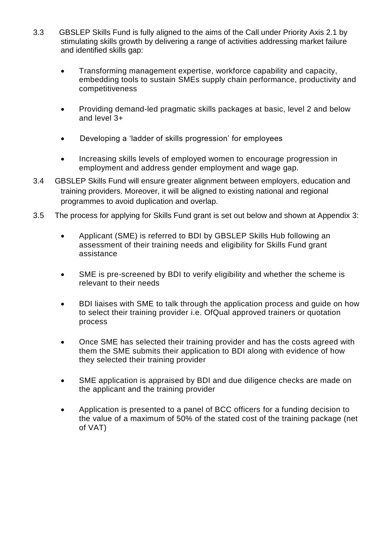- 3.3 GBSLEP Skills Fund is fully aligned to the aims of the Call under Priority Axis 2.1 by stimulating skills growth by delivering a range of activities addressing market failure and identified skills gap:
	- Transforming management expertise, workforce capability and capacity, embedding tools to sustain SMEs supply chain performance, productivity and competitiveness
	- Providing demand-led pragmatic skills packages at basic, level 2 and below and level 3+
	- Developing a 'ladder of skills progression' for employees
	- Increasing skills levels of employed women to encourage progression in employment and address gender employment and wage gap.
- 3.4 GBSLEP Skills Fund will ensure greater alignment between employers, education and training providers. Moreover, it will be aligned to existing national and regional programmes to avoid duplication and overlap.
- 3.5 The process for applying for Skills Fund grant is set out below and shown at Appendix 3:
	- Applicant (SME) is referred to BDI by GBSLEP Skills Hub following an assessment of their training needs and eligibility for Skills Fund grant assistance
	- SME is pre-screened by BDI to verify eligibility and whether the scheme is relevant to their needs
	- BDI liaises with SME to talk through the application process and guide on how to select their training provider i.e. OfQual approved trainers or quotation process
	- Once SME has selected their training provider and has the costs agreed with them the SME submits their application to BDI along with evidence of how they selected their training provider
	- SME application is appraised by BDI and due diligence checks are made on the applicant and the training provider
	- Application is presented to a panel of BCC officers for a funding decision to the value of a maximum of 50% of the stated cost of the training package (net of VAT)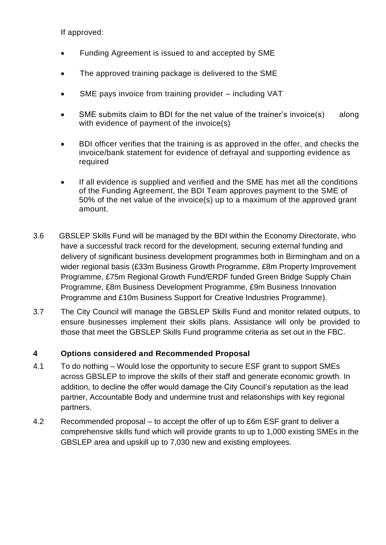If approved:

- Funding Agreement is issued to and accepted by SME
- The approved training package is delivered to the SME
- SME pays invoice from training provider including VAT
- SME submits claim to BDI for the net value of the trainer's invoice(s) along with evidence of payment of the invoice(s)
- BDI officer verifies that the training is as approved in the offer, and checks the invoice/bank statement for evidence of defrayal and supporting evidence as required
- If all evidence is supplied and verified and the SME has met all the conditions of the Funding Agreement, the BDI Team approves payment to the SME of 50% of the net value of the invoice(s) up to a maximum of the approved grant amount.
- 3.6 GBSLEP Skills Fund will be managed by the BDI within the Economy Directorate, who have a successful track record for the development, securing external funding and delivery of significant business development programmes both in Birmingham and on a wider regional basis (£33m Business Growth Programme, £8m Property Improvement Programme, £75m Regional Growth Fund/ERDF funded Green Bridge Supply Chain Programme, £8m Business Development Programme, £9m Business Innovation Programme and £10m Business Support for Creative Industries Programme).
- 3.7 The City Council will manage the GBSLEP Skills Fund and monitor related outputs, to ensure businesses implement their skills plans. Assistance will only be provided to those that meet the GBSLEP Skills Fund programme criteria as set out in the FBC.

## **4 Options considered and Recommended Proposal**

- 4.1 To do nothing Would lose the opportunity to secure ESF grant to support SMEs across GBSLEP to improve the skills of their staff and generate economic growth. In addition, to decline the offer would damage the City Council's reputation as the lead partner, Accountable Body and undermine trust and relationships with key regional partners.
- 4.2 Recommended proposal to accept the offer of up to £6m ESF grant to deliver a comprehensive skills fund which will provide grants to up to 1,000 existing SMEs in the GBSLEP area and upskill up to 7,030 new and existing employees.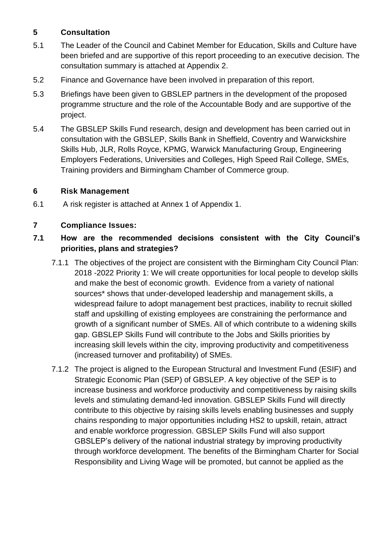### **5 Consultation**

- 5.1 The Leader of the Council and Cabinet Member for Education, Skills and Culture have been briefed and are supportive of this report proceeding to an executive decision. The consultation summary is attached at Appendix 2.
- 5.2 Finance and Governance have been involved in preparation of this report.
- 5.3 Briefings have been given to GBSLEP partners in the development of the proposed programme structure and the role of the Accountable Body and are supportive of the project.
- 5.4 The GBSLEP Skills Fund research, design and development has been carried out in consultation with the GBSLEP, Skills Bank in Sheffield, Coventry and Warwickshire Skills Hub, JLR, Rolls Royce, KPMG, Warwick Manufacturing Group, Engineering Employers Federations, Universities and Colleges, High Speed Rail College, SMEs, Training providers and Birmingham Chamber of Commerce group.

### **6 Risk Management**

6.1 A risk register is attached at Annex 1 of Appendix 1.

### **7 Compliance Issues:**

## **7.1 How are the recommended decisions consistent with the City Council's priorities, plans and strategies?**

- 7.1.1 The objectives of the project are consistent with the Birmingham City Council Plan: 2018 -2022 Priority 1: We will create opportunities for local people to develop skills and make the best of economic growth. Evidence from a variety of national sources\* shows that under-developed leadership and management skills, a widespread failure to adopt management best practices, inability to recruit skilled staff and upskilling of existing employees are constraining the performance and growth of a significant number of SMEs. All of which contribute to a widening skills gap. GBSLEP Skills Fund will contribute to the Jobs and Skills priorities by increasing skill levels within the city, improving productivity and competitiveness (increased turnover and profitability) of SMEs.
- 7.1.2 The project is aligned to the European Structural and Investment Fund (ESIF) and Strategic Economic Plan (SEP) of GBSLEP. A key objective of the SEP is to increase business and workforce productivity and competitiveness by raising skills levels and stimulating demand-led innovation. GBSLEP Skills Fund will directly contribute to this objective by raising skills levels enabling businesses and supply chains responding to major opportunities including HS2 to upskill, retain, attract and enable workforce progression. GBSLEP Skills Fund will also support GBSLEP's delivery of the national industrial strategy by improving productivity through workforce development. The benefits of the Birmingham Charter for Social Responsibility and Living Wage will be promoted, but cannot be applied as the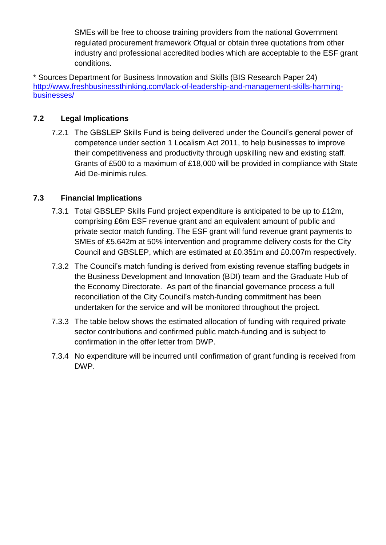SMEs will be free to choose training providers from the national Government regulated procurement framework Ofqual or obtain three quotations from other industry and professional accredited bodies which are acceptable to the ESF grant conditions.

\* Sources Department for Business Innovation and Skills (BIS Research Paper 24) [http://www.freshbusinessthinking.com/lack-of-leadership-and-management-skills-harming](http://www.freshbusinessthinking.com/lack-of-leadership-and-management-skills-harming-businesses/)[businesses/](http://www.freshbusinessthinking.com/lack-of-leadership-and-management-skills-harming-businesses/)

### **7.2 Legal Implications**

7.2.1 The GBSLEP Skills Fund is being delivered under the Council's general power of competence under section 1 Localism Act 2011, to help businesses to improve their competitiveness and productivity through upskilling new and existing staff. Grants of £500 to a maximum of £18,000 will be provided in compliance with State Aid De-minimis rules.

### **7.3 Financial Implications**

- 7.3.1 Total GBSLEP Skills Fund project expenditure is anticipated to be up to £12m, comprising £6m ESF revenue grant and an equivalent amount of public and private sector match funding. The ESF grant will fund revenue grant payments to SMEs of £5.642m at 50% intervention and programme delivery costs for the City Council and GBSLEP, which are estimated at £0.351m and £0.007m respectively.
- 7.3.2 The Council's match funding is derived from existing revenue staffing budgets in the Business Development and Innovation (BDI) team and the Graduate Hub of the Economy Directorate. As part of the financial governance process a full reconciliation of the City Council's match-funding commitment has been undertaken for the service and will be monitored throughout the project.
- 7.3.3 The table below shows the estimated allocation of funding with required private sector contributions and confirmed public match-funding and is subject to confirmation in the offer letter from DWP.
- 7.3.4 No expenditure will be incurred until confirmation of grant funding is received from DWP.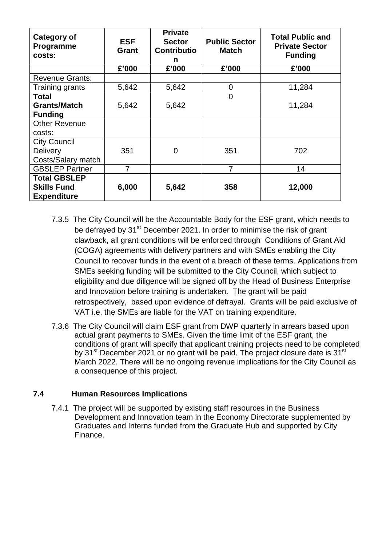| Category of<br>Programme<br>costs:                              | <b>ESF</b><br>Grant | <b>Private</b><br><b>Sector</b><br><b>Contributio</b><br>n | <b>Public Sector</b><br><b>Match</b> | <b>Total Public and</b><br><b>Private Sector</b><br><b>Funding</b> |
|-----------------------------------------------------------------|---------------------|------------------------------------------------------------|--------------------------------------|--------------------------------------------------------------------|
|                                                                 | £'000               | £'000                                                      | £'000                                | £'000                                                              |
| <b>Revenue Grants:</b>                                          |                     |                                                            |                                      |                                                                    |
| Training grants                                                 | 5,642               | 5,642                                                      | 0                                    | 11,284                                                             |
| <b>Total</b><br><b>Grants/Match</b><br><b>Funding</b>           | 5,642               | 5,642                                                      | $\overline{0}$                       | 11,284                                                             |
| <b>Other Revenue</b><br>costs:                                  |                     |                                                            |                                      |                                                                    |
| <b>City Council</b><br>Delivery<br>Costs/Salary match           | 351                 | 0                                                          | 351                                  | 702                                                                |
| <b>GBSLEP Partner</b>                                           | 7                   |                                                            | 7                                    | 14                                                                 |
| <b>Total GBSLEP</b><br><b>Skills Fund</b><br><b>Expenditure</b> | 6,000               | 5,642                                                      | 358                                  | 12,000                                                             |

- 7.3.5 The City Council will be the Accountable Body for the ESF grant, which needs to be defrayed by 31<sup>st</sup> December 2021. In order to minimise the risk of grant clawback, all grant conditions will be enforced through Conditions of Grant Aid (COGA) agreements with delivery partners and with SMEs enabling the City Council to recover funds in the event of a breach of these terms. Applications from SMEs seeking funding will be submitted to the City Council, which subject to eligibility and due diligence will be signed off by the Head of Business Enterprise and Innovation before training is undertaken. The grant will be paid retrospectively, based upon evidence of defrayal. Grants will be paid exclusive of VAT i.e. the SMEs are liable for the VAT on training expenditure.
- 7.3.6 The City Council will claim ESF grant from DWP quarterly in arrears based upon actual grant payments to SMEs. Given the time limit of the ESF grant, the conditions of grant will specify that applicant training projects need to be completed by 31<sup>st</sup> December 2021 or no grant will be paid. The project closure date is 31<sup>st</sup> March 2022. There will be no ongoing revenue implications for the City Council as a consequence of this project.

#### **7.4 Human Resources Implications**

7.4.1 The project will be supported by existing staff resources in the Business Development and Innovation team in the Economy Directorate supplemented by Graduates and Interns funded from the Graduate Hub and supported by City Finance.